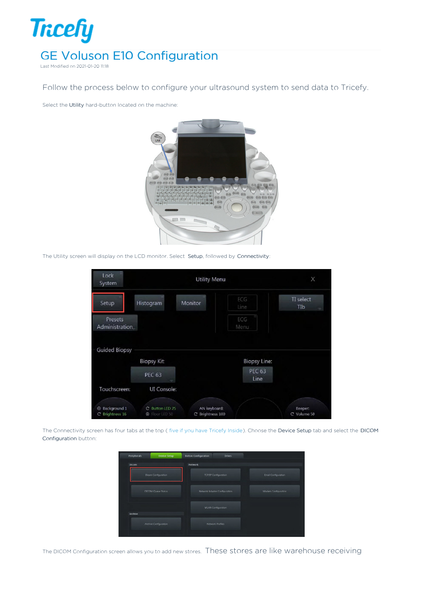

Last Modified on 2021-01-20 11:18

Follow the process below to configure your ultrasound system to send data to Tricefy.

Select the Utility hard-button located on the machine:



The Utility screen will display on the LCD monitor. Select Setup, followed by Connectivity:

| Lock<br>System                    |                                            | ×                                |                       |                        |
|-----------------------------------|--------------------------------------------|----------------------------------|-----------------------|------------------------|
| Setup                             | Histogram                                  | Monitor                          | ECG<br>Line           | TI select<br>TIb       |
| Presets<br><b>Administration</b>  |                                            |                                  | ECG<br>Menu           |                        |
| <b>Guided Biopsy</b>              | <b>Biopsy Kit</b>                          |                                  | <b>Biopsy Line:</b>   |                        |
|                                   | <b>PEC 63</b>                              |                                  | <b>PEC 63</b><br>Line |                        |
| Touchscreen:                      | UI Console:                                |                                  |                       |                        |
|                                   |                                            |                                  |                       |                        |
| C Background 1<br>C Brightness 16 | C Button LED 25<br>Floor LED 50<br>$\odot$ | AN keyboard:<br>C Brightness 100 |                       | Beeper:<br>C Volume 50 |

The Connectivity screen has four tabs at the top ( five if you have Tricefy Inside). Choose the Device Setup tab and select the DICOM Configuration button:



The DICOM Configuration screen allows you to add new stores. These stores are like warehouse receiving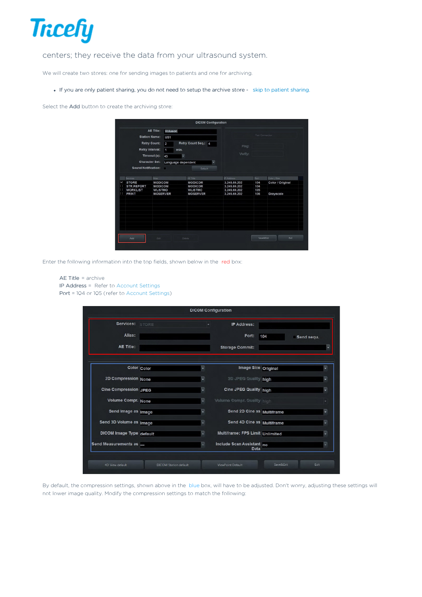

## centers; they receive the data from your ultrasound system.

We will create two stores: one for sending images to patients and one for archiving.

If you are only patient sharing, you do not need to setup the archive store - skip to patient sharing.

Select the Add button to create the archiving store:

|        | <b>Station Name:</b><br>Retry Interval:<br>Character Set:<br><b>Sound Notification:</b> | AE Title:<br><b>Retry Count:</b><br>Timeout (s):<br>×                          | Voluson<br>US <sub>1</sub><br>$\overline{2}$<br>$\overline{1}$<br>min.<br>45<br>Language dependent | Retry Count Seq.: 4<br>ų<br>ų<br>Default                                          | Ping:<br>Verify:                                                           | <b>Test Connection</b>           |                                               |
|--------|-----------------------------------------------------------------------------------------|--------------------------------------------------------------------------------|----------------------------------------------------------------------------------------------------|-----------------------------------------------------------------------------------|----------------------------------------------------------------------------|----------------------------------|-----------------------------------------------|
| М<br>Ш | Services<br><b>STORE</b><br>STR.REPORT<br><b>WORKLIST</b><br><b>PRINT</b>               | Alias<br><b>MODICOM</b><br><b>MODICOM</b><br><b>WLISTMO</b><br><b>MOSERVER</b> |                                                                                                    | AE Title<br><b>MODICOM</b><br><b>MODICOM</b><br><b>WLISTMO</b><br><b>MOSERVER</b> | IP Address<br>3.249.69.202<br>3.249.69.202<br>3.249.69.202<br>3.249.69.202 | Port<br>104<br>104<br>105<br>106 | Color / Size<br>Color / Original<br>Grayscale |
|        | Add                                                                                     | Edit                                                                           |                                                                                                    | Delete                                                                            |                                                                            | <b>Save&amp;Exit</b>             | Exit                                          |

Enter the following information into the top fields, shown below in the red box:

```
AE Title = archive
IP Address = Refer to Account Settings
Port = 104 or 105 (refer to Account Settings)
```

|                                 |  | <b>DICOM Configuration</b>        |                   |   |
|---------------------------------|--|-----------------------------------|-------------------|---|
| Services: STORE                 |  | <b>IP Address:</b>                |                   |   |
| Alias:                          |  | Port:                             | 104<br>Send sequ. |   |
| <b>AE Title:</b>                |  | <b>Storage Commit:</b>            |                   |   |
| Color Color                     |  | Image Size Original               |                   |   |
| 2D Compression None             |  | 2D JPEG Quality high              |                   |   |
| <b>Cine Compression JPEG</b>    |  | <b>Cine JPEG Quality high</b>     |                   |   |
| Volume Compr. None              |  | <b>Volume Compr. Quality high</b> |                   |   |
| Send Image as Image             |  | Send 2D Cine as Multiframe        |                   |   |
| Send 3D Volume as Image         |  | Send 4D Cine as Multiframe        |                   |   |
| <b>DICOM</b> Image Type default |  | Multiframe: FPS Limit Unlimited   |                   |   |
| Send Measurements as            |  | Include Scan Assistant no<br>Data |                   | ٠ |

By default, the compression settings, shown above in the blue box, will have to be adjusted. Don't worry, adjusting these settings will not lower image quality. Modify the compression settings to match the following: